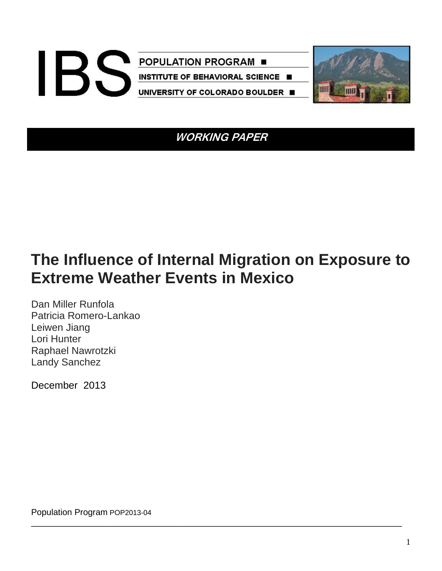

**WORKING PAPER** 

# **The Influence of Internal Migration on Exposure to Extreme Weather Events in Mexico**

\_\_\_\_\_\_\_\_\_\_\_\_\_\_\_\_\_\_\_\_\_\_\_\_\_\_\_\_\_\_\_\_\_\_\_\_\_\_\_\_\_\_\_\_\_\_\_\_\_\_\_\_\_\_\_\_\_\_\_\_\_\_\_\_\_\_\_\_\_\_\_\_\_\_\_\_\_

Dan Miller Runfola Patricia Romero-Lankao Leiwen Jiang Lori Hunter Raphael Nawrotzki Landy Sanchez

December 2013

Population Program POP2013-04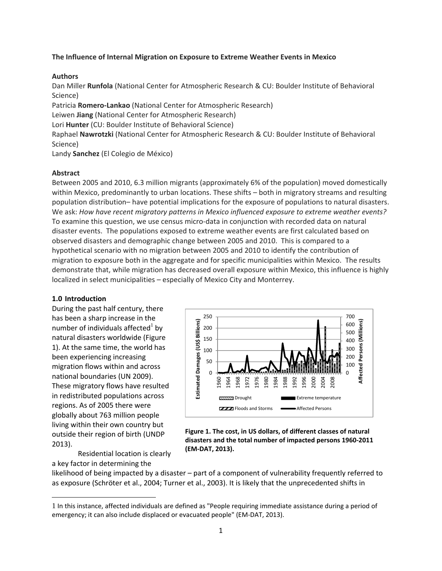## **The Influence of Internal Migration on Exposure to Extreme Weather Events in Mexico**

## **Authors**

Dan Miller **Runfola** (National Center for Atmospheric Research & CU: Boulder Institute of Behavioral Science)

Patricia **Romero‐Lankao** (National Center for Atmospheric Research)

Leiwen **Jiang** (National Center for Atmospheric Research)

Lori **Hunter** (CU: Boulder Institute of Behavioral Science)

Raphael **Nawrotzki** (National Center for Atmospheric Research & CU: Boulder Institute of Behavioral Science)

Landy **Sanchez** (El Colegio de México)

# **Abstract**

Between 2005 and 2010, 6.3 million migrants (approximately 6% of the population) moved domestically within Mexico, predominantly to urban locations. These shifts – both in migratory streams and resulting population distribution– have potential implications for the exposure of populations to natural disasters. We ask: *How have recent migratory patterns in Mexico influenced exposure to extreme weather events?* To examine this question, we use census micro‐data in conjunction with recorded data on natural disaster events. The populations exposed to extreme weather events are first calculated based on observed disasters and demographic change between 2005 and 2010. This is compared to a hypothetical scenario with no migration between 2005 and 2010 to identify the contribution of migration to exposure both in the aggregate and for specific municipalities within Mexico. The results demonstrate that, while migration has decreased overall exposure within Mexico, this influence is highly localized in select municipalities – especially of Mexico City and Monterrey.

# **1.0 Introduction**

During the past half century, there has been a sharp increase in the number of individuals affected $<sup>1</sup>$  by</sup> natural disasters worldwide (Figure 1). At the same time, the world has been experiencing increasing migration flows within and across national boundaries (UN 2009). These migratory flows have resulted in redistributed populations across regions. As of 2005 there were globally about 763 million people living within their own country but outside their region of birth (UNDP 2013).

Residential location is clearly a key factor in determining the



**Figure 1. The cost, in US dollars, of different classes of natural disasters and the total number of impacted persons 1960‐2011 (EM‐DAT, 2013).**

likelihood of being impacted by a disaster – part of a component of vulnerability frequently referred to as exposure (Schröter et al., 2004; Turner et al., 2003). It is likely that the unprecedented shifts in

<sup>1</sup> In this instance, affected individuals are defined as "People requiring immediate assistance during a period of emergency; it can also include displaced or evacuated people" (EM‐DAT, 2013).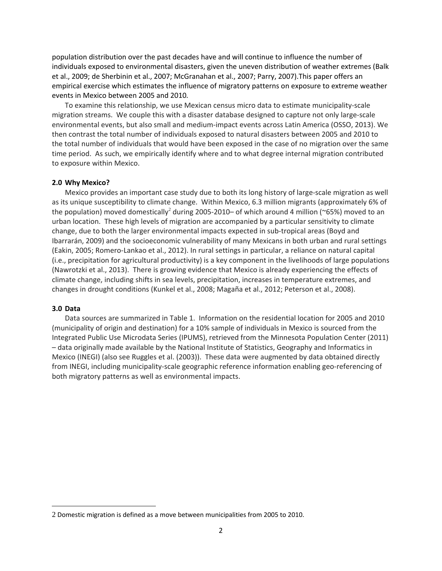population distribution over the past decades have and will continue to influence the number of individuals exposed to environmental disasters, given the uneven distribution of weather extremes (Balk et al., 2009; de Sherbinin et al., 2007; McGranahan et al., 2007; Parry, 2007).This paper offers an empirical exercise which estimates the influence of migratory patterns on exposure to extreme weather events in Mexico between 2005 and 2010*.*

To examine this relationship, we use Mexican census micro data to estimate municipality‐scale migration streams. We couple this with a disaster database designed to capture not only large‐scale environmental events, but also small and medium‐impact events across Latin America (OSSO, 2013). We then contrast the total number of individuals exposed to natural disasters between 2005 and 2010 to the total number of individuals that would have been exposed in the case of no migration over the same time period. As such, we empirically identify where and to what degree internal migration contributed to exposure within Mexico.

## **2.0 Why Mexico?**

Mexico provides an important case study due to both its long history of large‐scale migration as well as its unique susceptibility to climate change. Within Mexico, 6.3 million migrants (approximately 6% of the population) moved domestically<sup>2</sup> during 2005-2010– of which around 4 million ( $\sim$ 65%) moved to an urban location. These high levels of migration are accompanied by a particular sensitivity to climate change, due to both the larger environmental impacts expected in sub‐tropical areas (Boyd and Ibarrarán, 2009) and the socioeconomic vulnerability of many Mexicans in both urban and rural settings (Eakin, 2005; Romero‐Lankao et al., 2012). In rural settings in particular, a reliance on natural capital (i.e., precipitation for agricultural productivity) is a key component in the livelihoods of large populations (Nawrotzki et al., 2013). There is growing evidence that Mexico is already experiencing the effects of climate change, including shifts in sea levels, precipitation, increases in temperature extremes, and changes in drought conditions (Kunkel et al., 2008; Magaña et al., 2012; Peterson et al., 2008).

### **3.0 Data**

Data sources are summarized in Table 1. Information on the residential location for 2005 and 2010 (municipality of origin and destination) for a 10% sample of individuals in Mexico is sourced from the Integrated Public Use Microdata Series (IPUMS), retrieved from the Minnesota Population Center (2011) – data originally made available by the National Institute of Statistics, Geography and Informatics in Mexico (INEGI) (also see Ruggles et al. (2003)). These data were augmented by data obtained directly from INEGI, including municipality‐scale geographic reference information enabling geo‐referencing of both migratory patterns as well as environmental impacts.

<sup>2</sup> Domestic migration is defined as a move between municipalities from 2005 to 2010.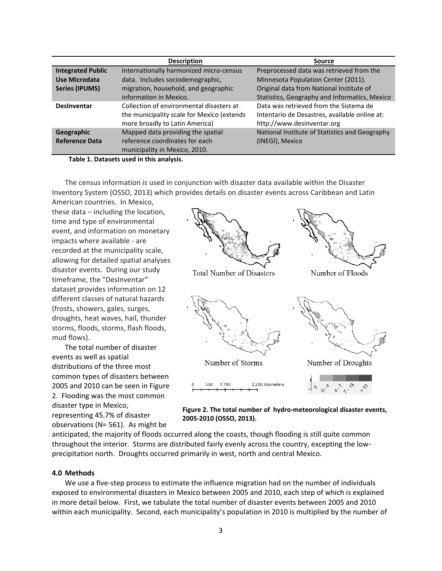|                          | <b>Description</b>                         | <b>Source</b>                                  |
|--------------------------|--------------------------------------------|------------------------------------------------|
| <b>Integrated Public</b> | Internationally harmonized micro-census    | Preprocessed data was retrieved from the       |
| Use Microdata            | data. Includes sociodemographic,           | Minnesota Population Center (2011).            |
| <b>Series (IPUMS)</b>    | migration, household, and geographic       | Original data from National Institute of       |
|                          | information in Mexico.                     | Statistics, Geography and Informatics, Mexico  |
| <b>Desinventar</b>       | Collection of environmental disasters at   | Data was retrieved from the Sistema de         |
|                          | the municipality scale for Mexico (extends | Intentario de Desastres, available online at:  |
|                          | more broadly to Latin America)             | http://www.desinventar.org                     |
| Geographic               | Mapped data providing the spatial          | National Institute of Statistics and Geography |
| <b>Reference Data</b>    | reference coordinates for each             | (INEGI), Mexico                                |
|                          | municipality in Mexico, 2010.              |                                                |

**Table 1. Datasets used in this analysis.**

The census information is used in conjunction with disaster data available within the Disaster Inventory System (OSSO, 2013) which provides details on disaster events across Caribbean and Latin

American countries. In Mexico, these data – including the location, time and type of environmental event, and information on monetary impacts where available ‐ are recorded at the municipality scale, allowing for detailed spatial analyses disaster events. During our study timeframe, the "DesInventar" dataset provides information on 12 different classes of natural hazards (frosts, showers, gales, surges, droughts, heat waves, hail, thunder storms, floods, storms, flash floods, mud flows).

The total number of disaster events as well as spatial distributions of the three most common types of disasters between 2005 and 2010 can be seen in Figure 2. Flooding was the most common disaster type in Mexico, representing 45.7% of disaster

observations (N= 561). As might be





anticipated, the majority of floods occurred along the coasts, though flooding is still quite common throughout the interior. Storms are distributed fairly evenly across the country, excepting the low‐ precipitation north. Droughts occurred primarily in west, north and central Mexico.

## **4.0 Methods**

We use a five‐step process to estimate the influence migration had on the number of individuals exposed to environmental disasters in Mexico between 2005 and 2010, each step of which is explained in more detail below. First, we tabulate the total number of disaster events between 2005 and 2010 within each municipality. Second, each municipality's population in 2010 is multiplied by the number of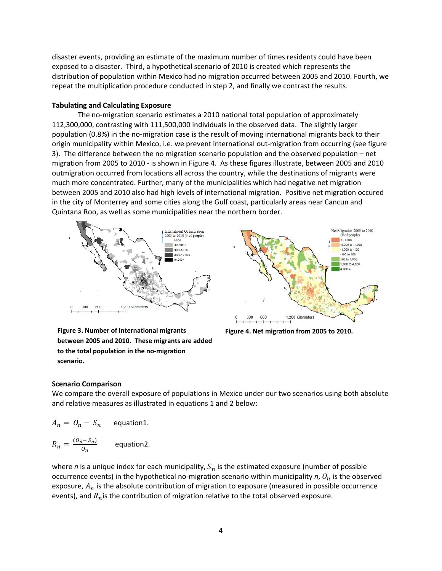disaster events, providing an estimate of the maximum number of times residents could have been exposed to a disaster. Third, a hypothetical scenario of 2010 is created which represents the distribution of population within Mexico had no migration occurred between 2005 and 2010. Fourth, we repeat the multiplication procedure conducted in step 2, and finally we contrast the results.

# **Tabulating and Calculating Exposure**

The no-migration scenario estimates a 2010 national total population of approximately 112,300,000, contrasting with 111,500,000 individuals in the observed data. The slightly larger population (0.8%) in the no-migration case is the result of moving international migrants back to their origin municipality within Mexico, i.e. we prevent international out‐migration from occurring (see figure 3). The difference between the no migration scenario population and the observed population – net migration from 2005 to 2010 ‐ is shown in Figure 4. As these figures illustrate, between 2005 and 2010 outmigration occurred from locations all across the country, while the destinations of migrants were much more concentrated. Further, many of the municipalities which had negative net migration between 2005 and 2010 also had high levels of international migration. Positive net migration occured in the city of Monterrey and some cities along the Gulf coast, particularly areas near Cancun and Quintana Roo, as well as some municipalities near the northern border.





**Figure 4. Net migration from 2005 to 2010.**

**Figure 3. Number of international migrants between 2005 and 2010. These migrants are added to the total population in the no‐migration scenario.**

# **Scenario Comparison**

We compare the overall exposure of populations in Mexico under our two scenarios using both absolute and relative measures as illustrated in equations 1 and 2 below:

$$
A_n = O_n - S_n \qquad \text{equation1.}
$$

$$
R_n = \frac{(O_n - S_n)}{O_n}
$$
 equation2.

where *n* is a unique index for each municipality,  $S_n$  is the estimated exposure (number of possible occurrence events) in the hypothetical no-migration scenario within municipality  $n$ ,  $O_n$  is the observed exposure,  $A_n$  is the absolute contribution of migration to exposure (measured in possible occurrence events), and  $R_n$  is the contribution of migration relative to the total observed exposure.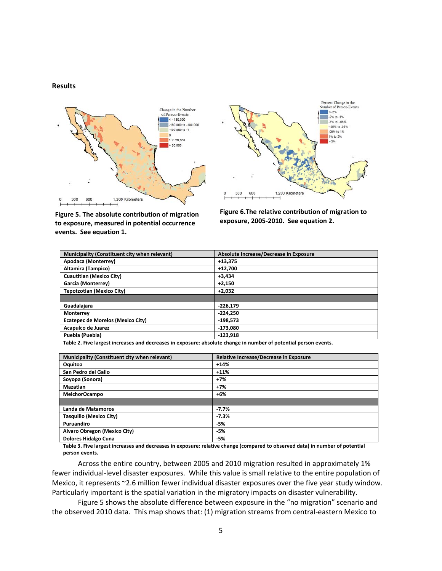#### **Results**





**Figure 5. The absolute contribution of migration to exposure, measured in potential occurrence events. See equation 1.**

**Figure 6.The relative contribution of migration to exposure, 2005‐2010. See equation 2.**

| Municipality (Constituent city when relevant) | Absolute Increase/Decrease in Exposure |
|-----------------------------------------------|----------------------------------------|
| Apodaca (Monterrey)                           | $+13.375$                              |
| <b>Altamira (Tampico)</b>                     | $+12,700$                              |
| <b>Cuautitlan (Mexico City)</b>               | $+3.434$                               |
| <b>Garcia (Monterrey)</b>                     | $+2,150$                               |
| <b>Tepotzotlan (Mexico City)</b>              | $+2,032$                               |
|                                               |                                        |
| Guadalajara                                   | $-226,179$                             |
| Monterrey                                     | $-224,250$                             |
| Ecatepec de Morelos (Mexico City)             | $-198,573$                             |
| Acapulco de Juarez                            | -173.080                               |
| Puebla (Puebla)                               | $-123,918$                             |

Table 2. Five largest increases and decreases in exposure: absolute change in number of potential person events.

| Municipality (Constituent city when relevant) | Relative Increase/Decrease in Exposure |
|-----------------------------------------------|----------------------------------------|
| Oquitoa                                       | $+14%$                                 |
| San Pedro del Gallo                           | $+11%$                                 |
| Soyopa (Sonora)                               | $+7%$                                  |
| Mazatlan                                      | $+7%$                                  |
| <b>MelchorOcampo</b>                          | $+6%$                                  |
|                                               |                                        |
| Landa de Matamoros                            | $-7.7%$                                |
| <b>Tasquillo (Mexico City)</b>                | $-7.3%$                                |
| Puruandiro                                    | $-5%$                                  |
| Alvaro Obregon (Mexico City)                  | -5%                                    |
| <b>Dolores Hidalgo Cuna</b>                   | -5%                                    |

Table 3. Five largest increases and decreases in exposure: relative change (compared to observed data) in number of potential **person events.**

Across the entire country, between 2005 and 2010 migration resulted in approximately 1% fewer individual-level disaster exposures. While this value is small relative to the entire population of Mexico, it represents ~2.6 million fewer individual disaster exposures over the five year study window. Particularly important is the spatial variation in the migratory impacts on disaster vulnerability.

Figure 5 shows the absolute difference between exposure in the "no migration" scenario and the observed 2010 data. This map shows that: (1) migration streams from central‐eastern Mexico to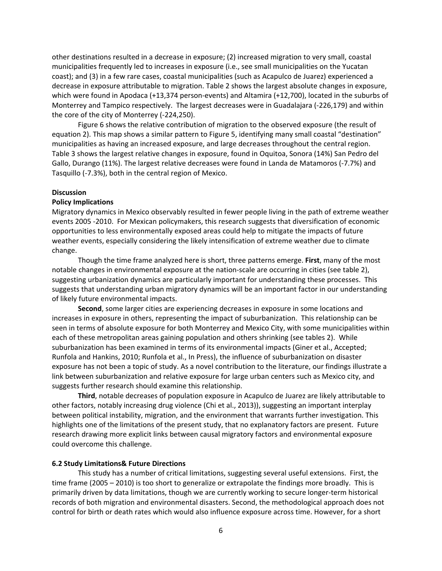other destinations resulted in a decrease in exposure; (2) increased migration to very small, coastal municipalities frequently led to increases in exposure (i.e., see small municipalities on the Yucatan coast); and (3) in a few rare cases, coastal municipalities (such as Acapulco de Juarez) experienced a decrease in exposure attributable to migration. Table 2 shows the largest absolute changes in exposure, which were found in Apodaca (+13,374 person-events) and Altamira (+12,700), located in the suburbs of Monterrey and Tampico respectively. The largest decreases were in Guadalajara (‐226,179) and within the core of the city of Monterrey (‐224,250).

Figure 6 shows the relative contribution of migration to the observed exposure (the result of equation 2). This map shows a similar pattern to Figure 5, identifying many small coastal "destination" municipalities as having an increased exposure, and large decreases throughout the central region. Table 3 shows the largest relative changes in exposure, found in Oquitoa, Sonora (14%) San Pedro del Gallo, Durango (11%). The largest relative decreases were found in Landa de Matamoros (‐7.7%) and Tasquillo (‐7.3%), both in the central region of Mexico.

### **Discussion**

## **Policy Implications**

Migratory dynamics in Mexico observably resulted in fewer people living in the path of extreme weather events 2005 ‐2010. For Mexican policymakers, this research suggests that diversification of economic opportunities to less environmentally exposed areas could help to mitigate the impacts of future weather events, especially considering the likely intensification of extreme weather due to climate change.

Though the time frame analyzed here is short, three patterns emerge. **First**, many of the most notable changes in environmental exposure at the nation-scale are occurring in cities (see table 2), suggesting urbanization dynamics are particularly important for understanding these processes. This suggests that understanding urban migratory dynamics will be an important factor in our understanding of likely future environmental impacts.

**Second**, some larger cities are experiencing decreases in exposure in some locations and increases in exposure in others, representing the impact of suburbanization. This relationship can be seen in terms of absolute exposure for both Monterrey and Mexico City, with some municipalities within each of these metropolitan areas gaining population and others shrinking (see tables 2). While suburbanization has been examined in terms of its environmental impacts (Giner et al., Accepted; Runfola and Hankins, 2010; Runfola et al., In Press), the influence of suburbanization on disaster exposure has not been a topic of study. As a novel contribution to the literature, our findings illustrate a link between suburbanization and relative exposure for large urban centers such as Mexico city, and suggests further research should examine this relationship.

**Third**, notable decreases of population exposure in Acapulco de Juarez are likely attributable to other factors, notably increasing drug violence (Chi et al., 2013)), suggesting an important interplay between political instability, migration, and the environment that warrants further investigation. This highlights one of the limitations of the present study, that no explanatory factors are present. Future research drawing more explicit links between causal migratory factors and environmental exposure could overcome this challenge.

#### **6.2 Study Limitations& Future Directions**

This study has a number of critical limitations, suggesting several useful extensions. First, the time frame (2005 – 2010) is too short to generalize or extrapolate the findings more broadly. This is primarily driven by data limitations, though we are currently working to secure longer‐term historical records of both migration and environmental disasters. Second, the methodological approach does not control for birth or death rates which would also influence exposure across time. However, for a short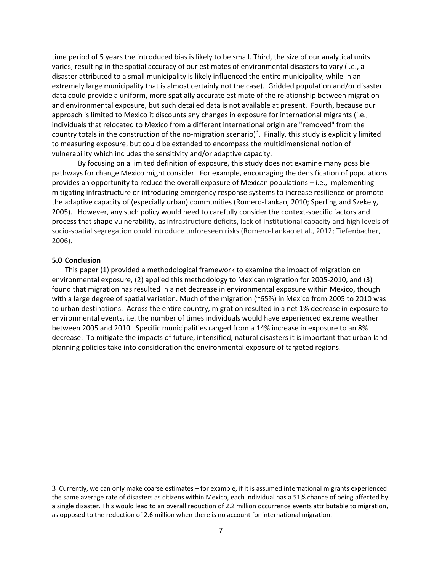time period of 5 years the introduced bias is likely to be small. Third, the size of our analytical units varies, resulting in the spatial accuracy of our estimates of environmental disasters to vary (i.e., a disaster attributed to a small municipality is likely influenced the entire municipality, while in an extremely large municipality that is almost certainly not the case). Gridded population and/or disaster data could provide a uniform, more spatially accurate estimate of the relationship between migration and environmental exposure, but such detailed data is not available at present. Fourth, because our approach is limited to Mexico it discounts any changes in exposure for international migrants (i.e., individuals that relocated to Mexico from a different international origin are "removed" from the country totals in the construction of the no-migration scenario)<sup>3</sup>. Finally, this study is explicitly limited to measuring exposure, but could be extended to encompass the multidimensional notion of vulnerability which includes the sensitivity and/or adaptive capacity.

By focusing on a limited definition of exposure, this study does not examine many possible pathways for change Mexico might consider. For example, encouraging the densification of populations provides an opportunity to reduce the overall exposure of Mexican populations – i.e., implementing mitigating infrastructure or introducing emergency response systems to increase resilience or promote the adaptive capacity of (especially urban) communities (Romero‐Lankao, 2010; Sperling and Szekely, 2005). However, any such policy would need to carefully consider the context-specific factors and process that shape vulnerability, as infrastructure deficits, lack of institutional capacity and high levels of socio-spatial segregation could introduce unforeseen risks (Romero-Lankao et al., 2012; Tiefenbacher, 2006).

#### **5.0 Conclusion**

This paper (1) provided a methodological framework to examine the impact of migration on environmental exposure, (2) applied this methodology to Mexican migration for 2005‐2010, and (3) found that migration has resulted in a net decrease in environmental exposure within Mexico, though with a large degree of spatial variation. Much of the migration (~65%) in Mexico from 2005 to 2010 was to urban destinations. Across the entire country, migration resulted in a net 1% decrease in exposure to environmental events, i.e. the number of times individuals would have experienced extreme weather between 2005 and 2010. Specific municipalities ranged from a 14% increase in exposure to an 8% decrease. To mitigate the impacts of future, intensified, natural disasters it is important that urban land planning policies take into consideration the environmental exposure of targeted regions.

<sup>3</sup> Currently, we can only make coarse estimates – for example, if it is assumed international migrants experienced the same average rate of disasters as citizens within Mexico, each individual has a 51% chance of being affected by a single disaster. This would lead to an overall reduction of 2.2 million occurrence events attributable to migration, as opposed to the reduction of 2.6 million when there is no account for international migration.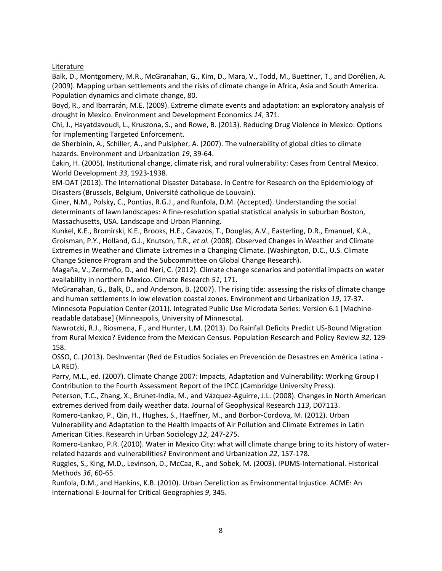**Literature** 

Balk, D., Montgomery, M.R., McGranahan, G., Kim, D., Mara, V., Todd, M., Buettner, T., and Dorélien, A. (2009). Mapping urban settlements and the risks of climate change in Africa, Asia and South America. Population dynamics and climate change, 80.

Boyd, R., and Ibarrarán, M.E. (2009). Extreme climate events and adaptation: an exploratory analysis of drought in Mexico. Environment and Development Economics *14*, 371.

Chi, J., Hayatdavoudi, L., Kruszona, S., and Rowe, B. (2013). Reducing Drug Violence in Mexico: Options for Implementing Targeted Enforcement.

de Sherbinin, A., Schiller, A., and Pulsipher, A. (2007). The vulnerability of global cities to climate hazards. Environment and Urbanization *19*, 39‐64.

Eakin, H. (2005). Institutional change, climate risk, and rural vulnerability: Cases from Central Mexico. World Development *33*, 1923‐1938.

EM‐DAT (2013). The International Disaster Database. In Centre for Research on the Epidemiology of Disasters (Brussels, Belgium, Université catholique de Louvain).

Giner, N.M., Polsky, C., Pontius, R.G.J., and Runfola, D.M. (Accepted). Understanding the social determinants of lawn landscapes: A fine‐resolution spatial statistical analysis in suburban Boston, Massachusetts, USA. Landscape and Urban Planning.

Kunkel, K.E., Bromirski, K.E., Brooks, H.E., Cavazos, T., Douglas, A.V., Easterling, D.R., Emanuel, K.A., Groisman, P.Y., Holland, G.J., Knutson, T.R.*, et al.* (2008). Observed Changes in Weather and Climate Extremes in Weather and Climate Extremes in a Changing Climate. (Washington, D.C., U.S. Climate Change Science Program and the Subcommittee on Global Change Research).

Magaña, V., Zermeño, D., and Neri, C. (2012). Climate change scenarios and potential impacts on water availability in northern Mexico. Climate Research *51*, 171.

McGranahan, G., Balk, D., and Anderson, B. (2007). The rising tide: assessing the risks of climate change and human settlements in low elevation coastal zones. Environment and Urbanization *19*, 17‐37. Minnesota Population Center (2011). Integrated Public Use Microdata Series: Version 6.1 [Machine‐ readable database] (Minneapolis, University of Minnesota).

Nawrotzki, R.J., Riosmena, F., and Hunter, L.M. (2013). Do Rainfall Deficits Predict US‐Bound Migration from Rural Mexico? Evidence from the Mexican Census. Population Research and Policy Review *32*, 129‐ 158.

OSSO, C. (2013). DesInventar (Red de Estudios Sociales en Prevención de Desastres en América Latina ‐ LA RED).

Parry, M.L., ed. (2007). Climate Change 2007: Impacts, Adaptation and Vulnerability: Working Group I Contribution to the Fourth Assessment Report of the IPCC (Cambridge University Press).

Peterson, T.C., Zhang, X., Brunet‐India, M., and Vázquez‐Aguirre, J.L. (2008). Changes in North American extremes derived from daily weather data. Journal of Geophysical Research *113*, D07113.

Romero‐Lankao, P., Qin, H., Hughes, S., Haeffner, M., and Borbor‐Cordova, M. (2012). Urban Vulnerability and Adaptation to the Health Impacts of Air Pollution and Climate Extremes in Latin American Cities. Research in Urban Sociology *12*, 247‐275.

Romero‐Lankao, P.R. (2010). Water in Mexico City: what will climate change bring to its history of water‐ related hazards and vulnerabilities? Environment and Urbanization *22*, 157‐178.

Ruggles, S., King, M.D., Levinson, D., McCaa, R., and Sobek, M. (2003). IPUMS‐International. Historical Methods *36*, 60‐65.

Runfola, D.M., and Hankins, K.B. (2010). Urban Dereliction as Environmental Injustice. ACME: An International E‐Journal for Critical Geographies *9*, 345.